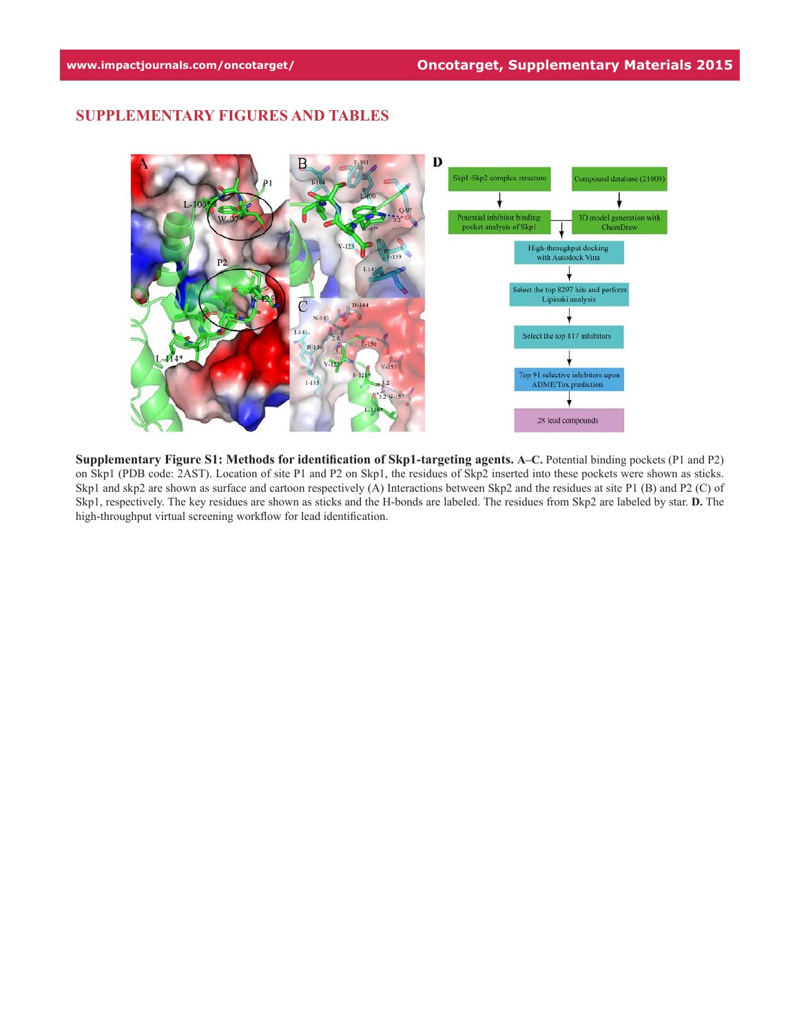## **SUPPLEMENTARY FIGURES AND TABLES**



**Supplementary Figure S1: Methods for identification of Skp1-targeting agents. A–C.** Potential binding pockets (P1 and P2) on Skp1 (PDB code: 2AST). Location of site P1 and P2 on Skp1, the residues of Skp2 inserted into these pockets were shown as sticks. Skp1 and skp2 are shown as surface and cartoon respectively (A) Interactions between Skp2 and the residues at site P1 (B) and P2 (C) of Skp1, respectively. The key residues are shown as sticks and the H-bonds are labeled. The residues from Skp2 are labeled by star. **D.** The high-throughput virtual screening workflow for lead identification.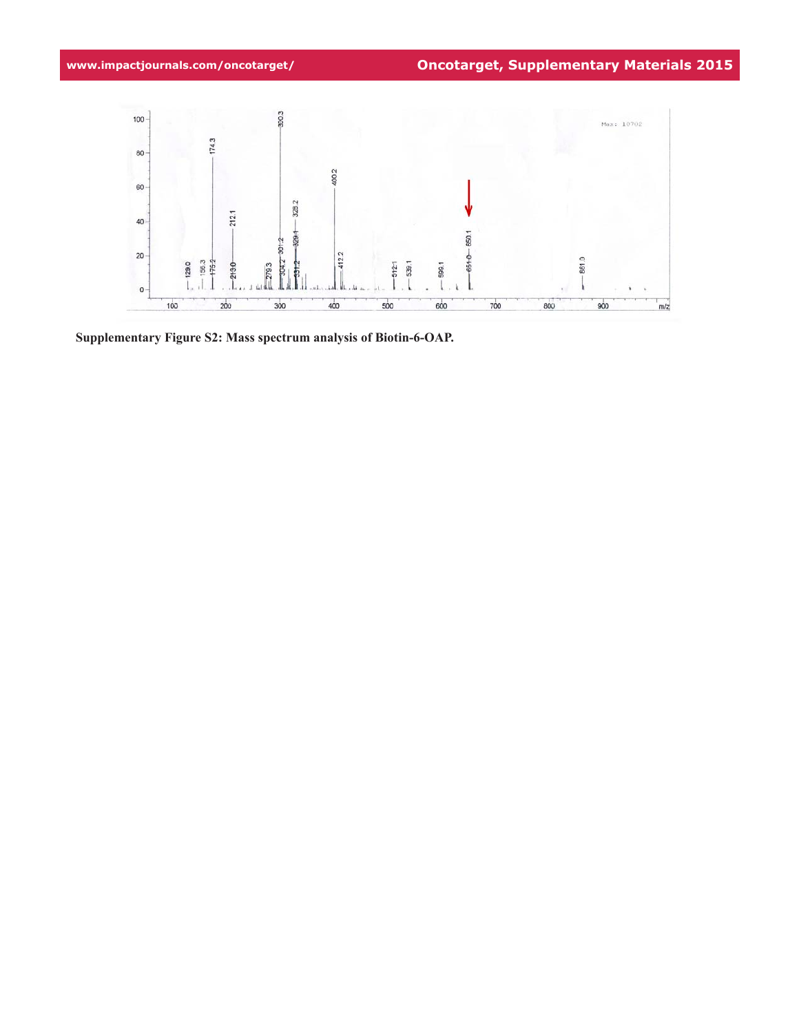

**Supplementary Figure S2: Mass spectrum analysis of Biotin-6-OAP.**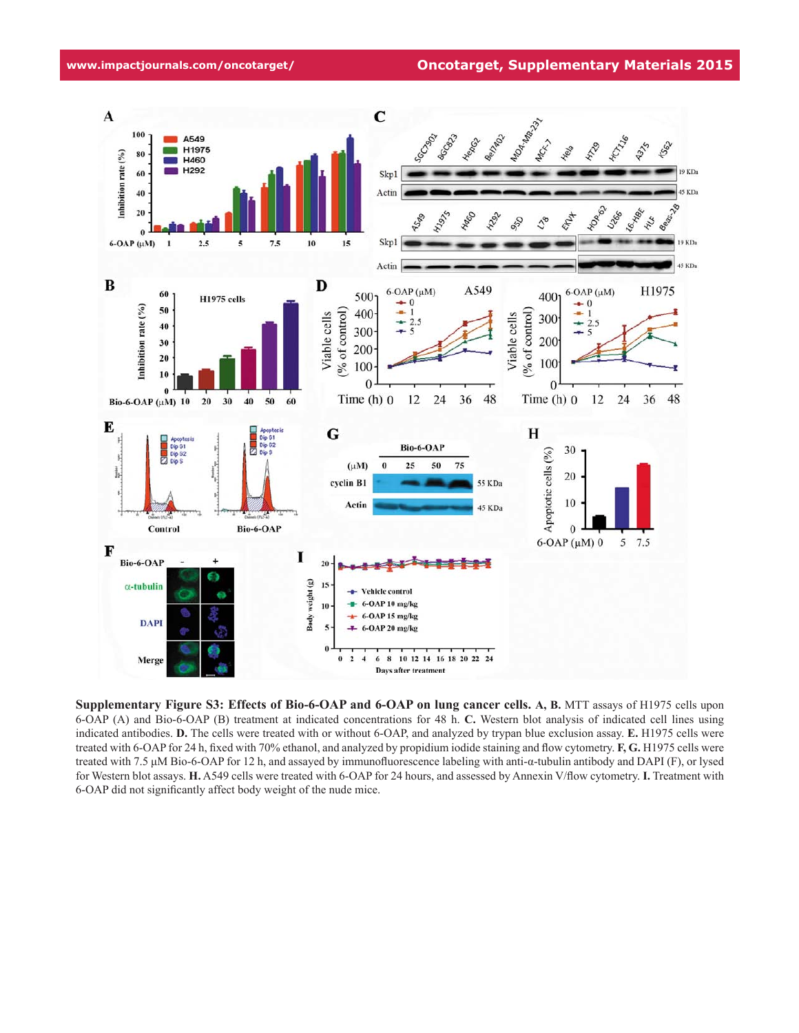**www.impactjournals.com/oncotarget/ Oncotarget, Supplementary Materials 2015**



**Supplementary Figure S3: Effects of Bio-6-OAP and 6-OAP on lung cancer cells. A, B.** MTT assays of H1975 cells upon 6-OAP (A) and Bio-6-OAP (B) treatment at indicated concentrations for 48 h. **C.** Western blot analysis of indicated cell lines using indicated antibodies. **D.** The cells were treated with or without 6-OAP, and analyzed by trypan blue exclusion assay. **E.** H1975 cells were treated with 6-OAP for 24 h, fixed with 70% ethanol, and analyzed by propidium iodide staining and flow cytometry. **F, G.** H1975 cells were treated with 7.5 μM Bio-6-OAP for 12 h, and assayed by immunofluorescence labeling with anti-α-tubulin antibody and DAPI (F), or lysed for Western blot assays. **H.** A549 cells were treated with 6-OAP for 24 hours, and assessed by Annexin V/flow cytometry. **I.** Treatment with 6-OAP did not significantly affect body weight of the nude mice.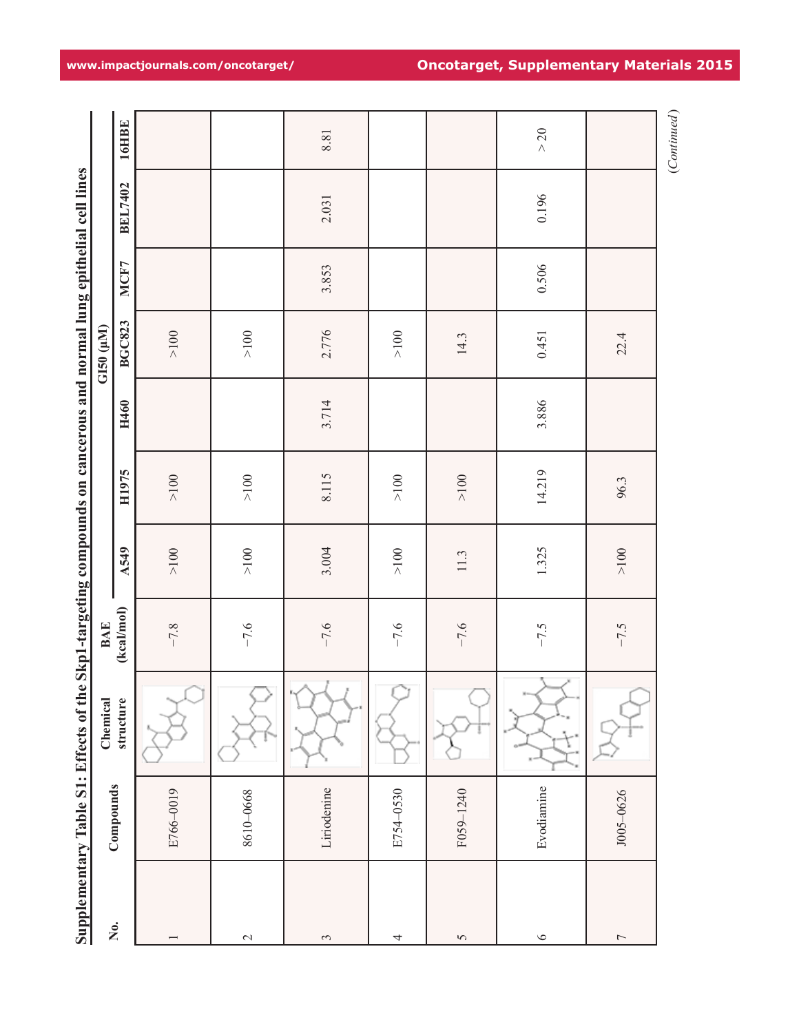|                                                                                                                    |                  | <b>16HBE</b>       |           |           | 8.81        |           |                    | $>20$      |                          | (Continued) |
|--------------------------------------------------------------------------------------------------------------------|------------------|--------------------|-----------|-----------|-------------|-----------|--------------------|------------|--------------------------|-------------|
|                                                                                                                    |                  | <b>BEL7402</b>     |           |           | 2.031       |           |                    | 0.196      |                          |             |
|                                                                                                                    |                  | MCF7               |           |           | 3.853       |           |                    | 0.506      |                          |             |
|                                                                                                                    | $GIS0$ $(\mu M)$ | <b>BGC823</b>      | $>100$    | $>100$    | 2.776       | $>100$    | 14.3               | 0.451      | 22.4                     |             |
|                                                                                                                    |                  | H460               |           |           | 3.714       |           |                    | 3.886      |                          |             |
|                                                                                                                    |                  | H1975              | $>100$    | ${>}100$  | 8.115       | $>100$    | $>100$             | 14.219     | 96.3                     |             |
|                                                                                                                    |                  | A549               | ${>}100$  | ${>}100$  | 3.004       | $>100$    | $11.3$             | 1.325      | $>100$                   |             |
|                                                                                                                    | <b>BAE</b>       | (kcal/mol)         | $-7.8$    | $-7.6$    | $-7.6$      | $-7.6$    | $-7.6$             | $-7.5$     | $-7.5$                   |             |
| Supplementary Table S1: Effects of the Skp1-targeting compounds on cancerous and normal lung epithelial cell lines | Chemical         | structure          |           |           | ř           |           |                    | ٢          |                          |             |
|                                                                                                                    |                  | Compounds          | E766-0019 | 8610-0668 | Liriodenine | E754-0530 | F059-1240          | Evodiamine | J005-0626                |             |
|                                                                                                                    |                  | $\dot{\mathsf{z}}$ |           | $\sim$    | $\sim$      | 4         | $\mathbf{\hat{S}}$ | $\circ$    | $\overline{\phantom{a}}$ |             |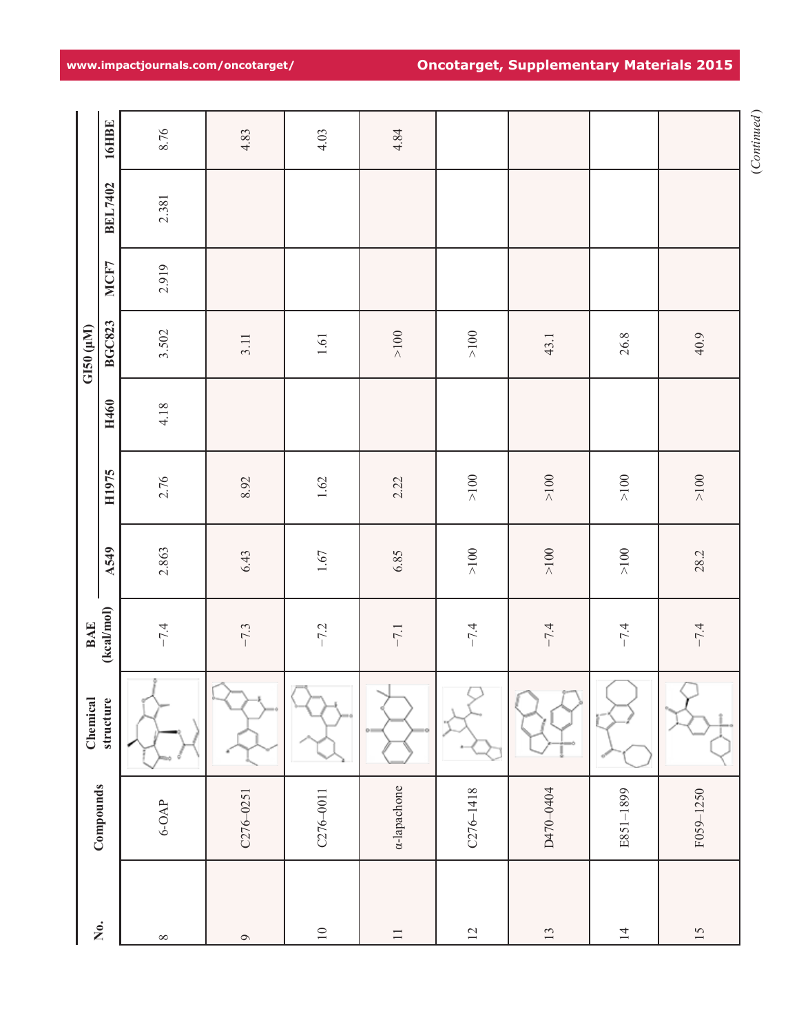|            | <b>16HBE</b>            | 8.76     | 4.83         | 4.03          | 4.84        |               |           |                |           |
|------------|-------------------------|----------|--------------|---------------|-------------|---------------|-----------|----------------|-----------|
|            | <b>BEL7402</b>          | 2.381    |              |               |             |               |           |                |           |
|            | MCF7                    | 2.919    |              |               |             |               |           |                |           |
| GI50 (µM)  | <b>BGC823</b>           | 3.502    | 3.11         | $1.61\,$      | ${>}100$    | ${>}100$      | 43.1      | 26.8           | 40.9      |
|            | H460                    | 4.18     |              |               |             |               |           |                |           |
|            | H1975                   | 2.76     | 8.92         | $1.62\,$      | 2.22        | ${>}100$      | ${>}100$  | ${>}100$       | $>100$    |
|            | <b>A549</b>             | 2.863    | 6.43         | $1.67$        | 6.85        | ${>}100$      | ${>}100$  | ${>}100$       | 28.2      |
| <b>BAE</b> | (kcal/mol)              | $-7.4$   | $-7.3$       | $-7.2$        | $-7.1$      | $-7.4$        | $-7.4$    | $-7.4$         | $-7.4$    |
| Chemical   | structure               | Î        |              |               | O-I<br>١Ö   |               |           |                |           |
|            | Compounds               | $6-0AP$  | C276-0251    | $C276 - 0011$ | a-lapachone | $C276 - 1418$ | D470-0404 | E851-1899      | F059-1250 |
|            | $\mathring{\mathsf{z}}$ | $\infty$ | $\mathsf{O}$ | $10$          | $\Box$      | $12\,$        | 13        | $\overline{4}$ | 15        |

**www.impactjournals.com/oncotarget/ Oncotarget, Supplementary Materials 2015**

*Continued* (Continued)  $(Continued)$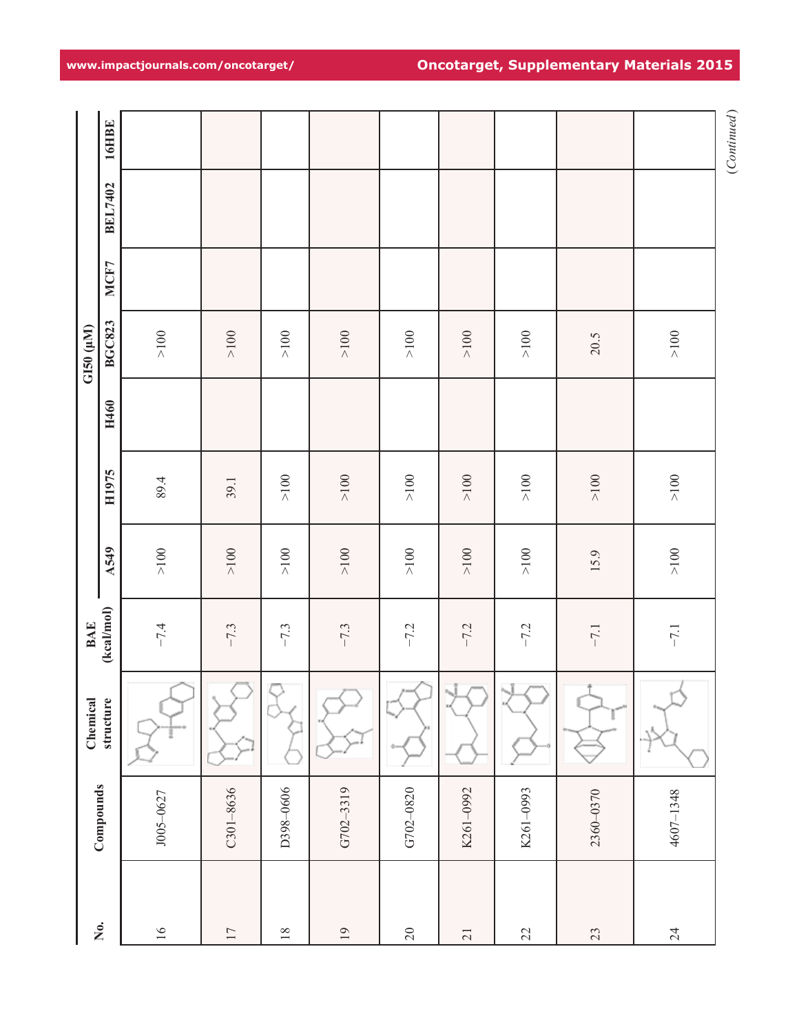| ${>}100$<br>${>}100$<br>${>}100$<br>${>}\,100$<br>$>100$<br>${>}\,100$<br>${>}\,100$<br>${>}\,100$<br>20.5<br>${>}100$<br>$>100$<br>$>100$<br>${>}100$<br>${>}100$<br>${>}100$<br>${>}100$<br>89.4<br>39.1 | A549<br>(kcal/mol)<br><b>BAE</b><br>Chemical<br>structure<br>Compounds |  |            | H1975 | H460 | <b>BGC823</b><br>G150 (µM) | MCF7 | <b>BEL7402</b> | <b>16HBE</b> |
|------------------------------------------------------------------------------------------------------------------------------------------------------------------------------------------------------------|------------------------------------------------------------------------|--|------------|-------|------|----------------------------|------|----------------|--------------|
| $>100$<br>${>}100$<br>${>}100$<br>${>}100$<br>$>100$<br>${>}\,100$<br>${>}\,100$<br>15.9                                                                                                                   | $-7.4$<br>J005-0627                                                    |  | ${>}\,100$ |       |      |                            |      |                |              |
|                                                                                                                                                                                                            | $-7.3$<br>$C301 - 8636$                                                |  |            |       |      |                            |      |                |              |
|                                                                                                                                                                                                            | $-7.3$<br>D398-0606                                                    |  |            |       |      |                            |      |                |              |
|                                                                                                                                                                                                            | $-7.3$<br>G702-3319                                                    |  |            |       |      |                            |      |                |              |
|                                                                                                                                                                                                            | $-7.2$<br>G702-0820                                                    |  |            |       |      |                            |      |                |              |
|                                                                                                                                                                                                            | $-7.2$<br>ĩ<br>K261-0992                                               |  |            |       |      |                            |      |                |              |
|                                                                                                                                                                                                            | $-7.2$<br>ĩ<br>K261-0993                                               |  |            |       |      |                            |      |                |              |
|                                                                                                                                                                                                            | $-7.1$<br>Ť<br>2360-0370                                               |  |            |       |      |                            |      |                |              |
|                                                                                                                                                                                                            | $-7.1$<br>4607-1348                                                    |  |            |       |      |                            |      |                |              |

**www.impactjournals.com/oncotarget/ Oncotarget, Supplementary Materials 2015**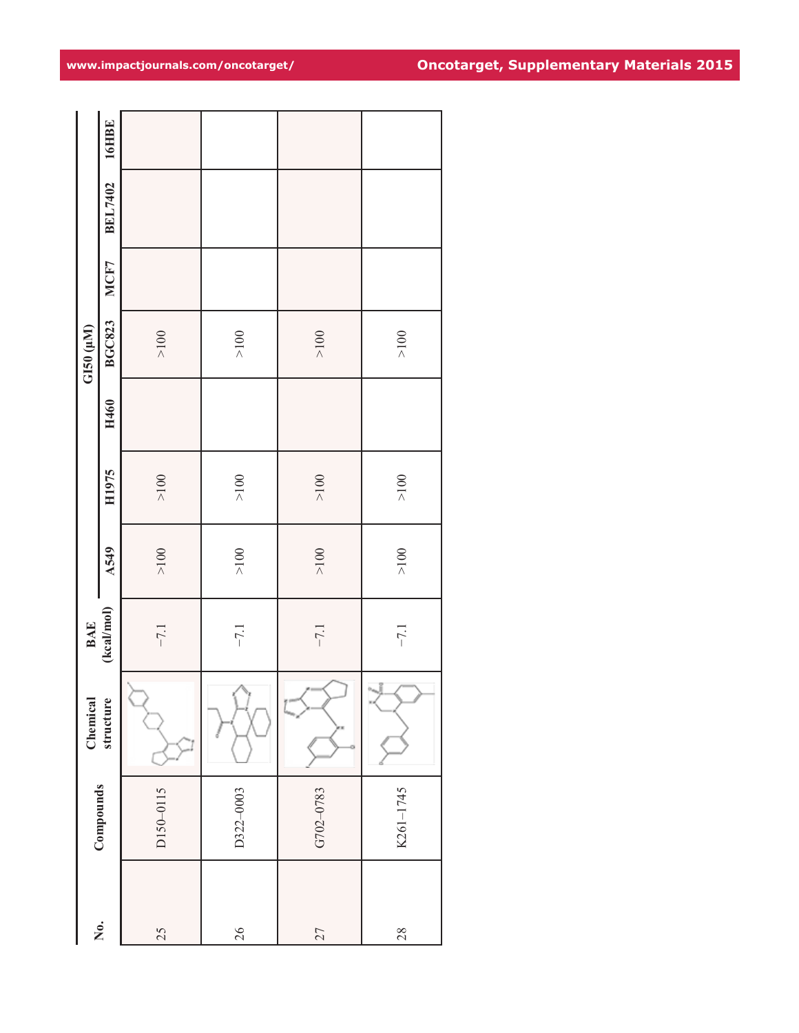|    |           | Chemical  |                                        |             |          |      | GI50 (µM)     |      |                |       |
|----|-----------|-----------|----------------------------------------|-------------|----------|------|---------------|------|----------------|-------|
| Ź. | Compounds | structure | $\frac{\text{BAE}}{\text{(kcal/mol)}}$ | <b>A549</b> | H1975    | H460 | <b>BGC823</b> | MCF7 | <b>BEL7402</b> | 16HBE |
| 25 | D150-0115 |           | $-7.1$                                 | ${>}100$    | ${>}100$ |      | $>100$        |      |                |       |
| 26 | D322-0003 |           | $-7.1$                                 | ${>}100$    | ${>}100$ |      | ${>}100$      |      |                |       |
| 27 | G702-0783 |           | $-7.1$                                 | ${>}100$    | ${>}100$ |      | $>100$        |      |                |       |
| 28 | K261-1745 | N.        | $-7.1$                                 | ${>}100$    | ${>}100$ |      | ${>}100$      |      |                |       |

# **www.impactjournals.com/oncotarget/ Oncotarget, Supplementary Materials 2015**